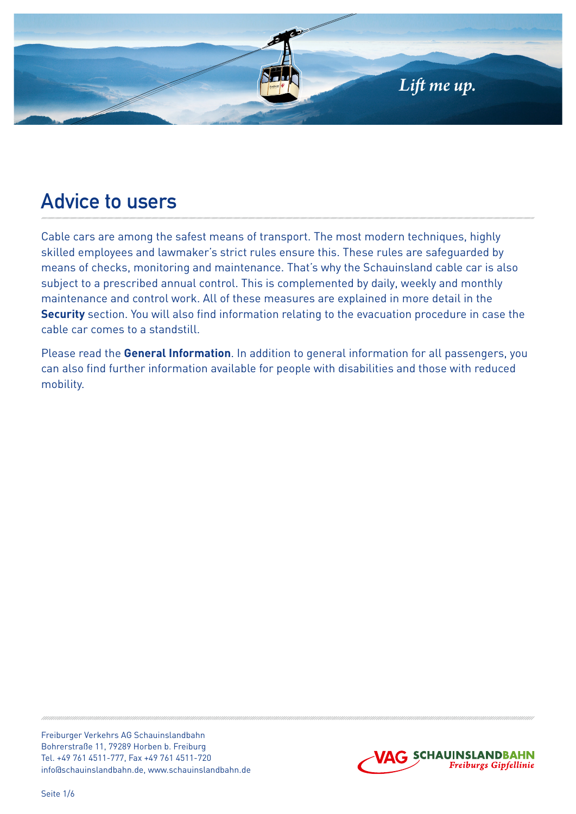

# **Advice to users**

Cable cars are among the safest means of transport. The most modern techniques, highly skilled employees and lawmaker's strict rules ensure this. These rules are safeguarded by means of checks, monitoring and maintenance. That's why the Schauinsland cable car is also subject to a prescribed annual control. This is complemented by daily, weekly and monthly maintenance and control work. All of these measures are explained in more detail in the **Security** section. You will also find information relating to the evacuation procedure in case the cable car comes to a standstill.

Please read the **General Information**. In addition to general information for all passengers, you can also find further information available for people with disabilities and those with reduced mobility.

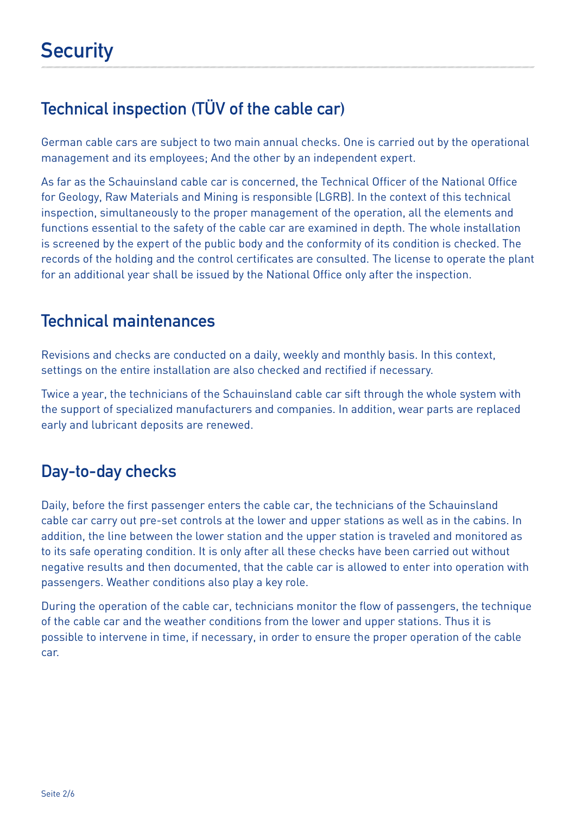## **Technical inspection (TÜV of the cable car)**

German cable cars are subject to two main annual checks. One is carried out by the operational management and its employees; And the other by an independent expert.

As far as the Schauinsland cable car is concerned, the Technical Officer of the National Office for Geology, Raw Materials and Mining is responsible (LGRB). In the context of this technical inspection, simultaneously to the proper management of the operation, all the elements and functions essential to the safety of the cable car are examined in depth. The whole installation is screened by the expert of the public body and the conformity of its condition is checked. The records of the holding and the control certificates are consulted. The license to operate the plant for an additional year shall be issued by the National Office only after the inspection.

#### **Technical maintenances**

Revisions and checks are conducted on a daily, weekly and monthly basis. In this context, settings on the entire installation are also checked and rectified if necessary.

Twice a year, the technicians of the Schauinsland cable car sift through the whole system with the support of specialized manufacturers and companies. In addition, wear parts are replaced early and lubricant deposits are renewed.

## **Day-to-day checks**

Daily, before the first passenger enters the cable car, the technicians of the Schauinsland cable car carry out pre-set controls at the lower and upper stations as well as in the cabins. In addition, the line between the lower station and the upper station is traveled and monitored as to its safe operating condition. It is only after all these checks have been carried out without negative results and then documented, that the cable car is allowed to enter into operation with passengers. Weather conditions also play a key role.

During the operation of the cable car, technicians monitor the flow of passengers, the technique of the cable car and the weather conditions from the lower and upper stations. Thus it is possible to intervene in time, if necessary, in order to ensure the proper operation of the cable car.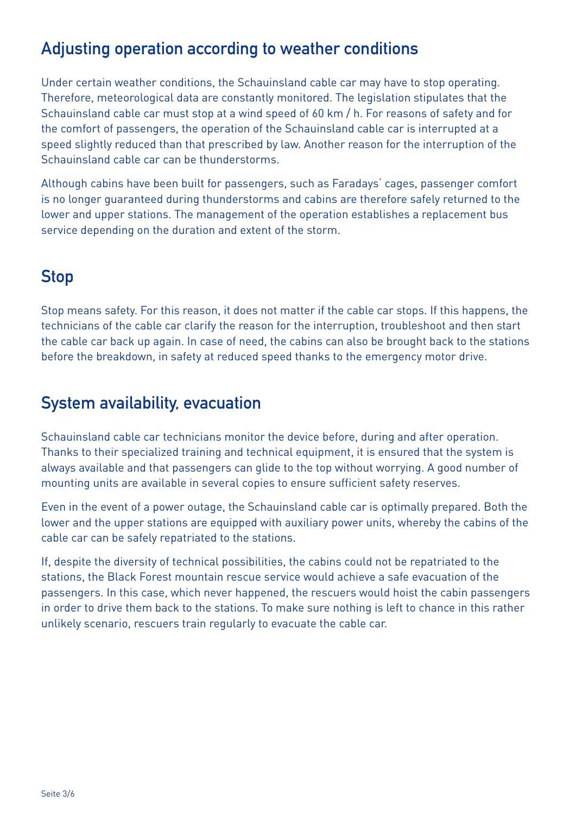## **Adjusting operation according to weather conditions**

Under certain weather conditions, the Schauinsland cable car may have to stop operating. Therefore, meteorological data are constantly monitored. The legislation stipulates that the Schauinsland cable car must stop at a wind speed of 60 km / h. For reasons of safety and for the comfort of passengers, the operation of the Schauinsland cable car is interrupted at a speed slightly reduced than that prescribed by law. Another reason for the interruption of the Schauinsland cable car can be thunderstorms.

Although cabins have been built for passengers, such as Faradays' cages, passenger comfort is no longer guaranteed during thunderstorms and cabins are therefore safely returned to the lower and upper stations. The management of the operation establishes a replacement bus service depending on the duration and extent of the storm.

#### **Stop**

Stop means safety. For this reason, it does not matter if the cable car stops. If this happens, the technicians of the cable car clarify the reason for the interruption, troubleshoot and then start the cable car back up again. In case of need, the cabins can also be brought back to the stations before the breakdown, in safety at reduced speed thanks to the emergency motor drive.

## **System availability, evacuation**

Schauinsland cable car technicians monitor the device before, during and after operation. Thanks to their specialized training and technical equipment, it is ensured that the system is always available and that passengers can glide to the top without worrying. A good number of mounting units are available in several copies to ensure sufficient safety reserves.

Even in the event of a power outage, the Schauinsland cable car is optimally prepared. Both the lower and the upper stations are equipped with auxiliary power units, whereby the cabins of the cable car can be safely repatriated to the stations.

If, despite the diversity of technical possibilities, the cabins could not be repatriated to the stations, the Black Forest mountain rescue service would achieve a safe evacuation of the passengers. In this case, which never happened, the rescuers would hoist the cabin passengers in order to drive them back to the stations. To make sure nothing is left to chance in this rather unlikely scenario, rescuers train regularly to evacuate the cable car.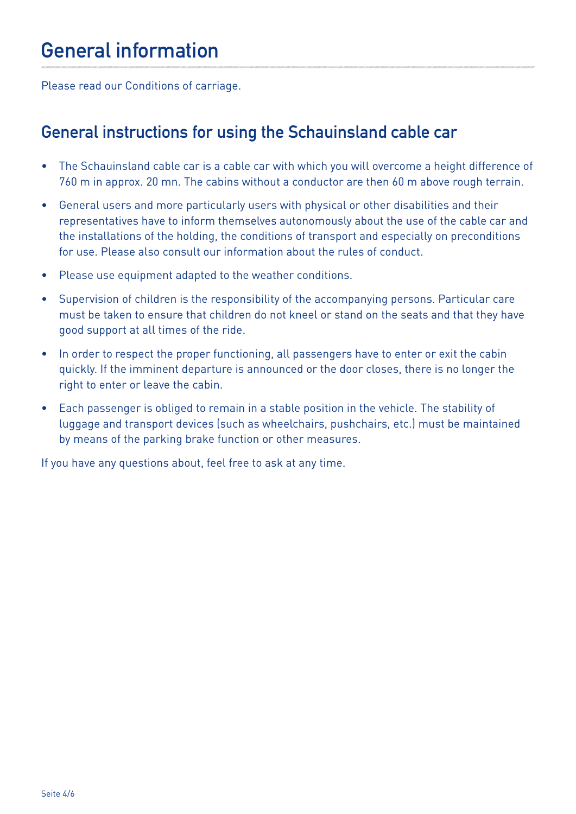Please read our Conditions of carriage.

#### **General instructions for using the Schauinsland cable car**

- The Schauinsland cable car is a cable car with which you will overcome a height difference of 760 m in approx. 20 mn. The cabins without a conductor are then 60 m above rough terrain.
- General users and more particularly users with physical or other disabilities and their representatives have to inform themselves autonomously about the use of the cable car and the installations of the holding, the conditions of transport and especially on preconditions for use. Please also consult our information about the rules of conduct.
- Please use equipment adapted to the weather conditions.
- Supervision of children is the responsibility of the accompanying persons. Particular care must be taken to ensure that children do not kneel or stand on the seats and that they have good support at all times of the ride.
- In order to respect the proper functioning, all passengers have to enter or exit the cabin quickly. If the imminent departure is announced or the door closes, there is no longer the right to enter or leave the cabin.
- Each passenger is obliged to remain in a stable position in the vehicle. The stability of luggage and transport devices (such as wheelchairs, pushchairs, etc.) must be maintained by means of the parking brake function or other measures.

If you have any questions about, feel free to ask at any time.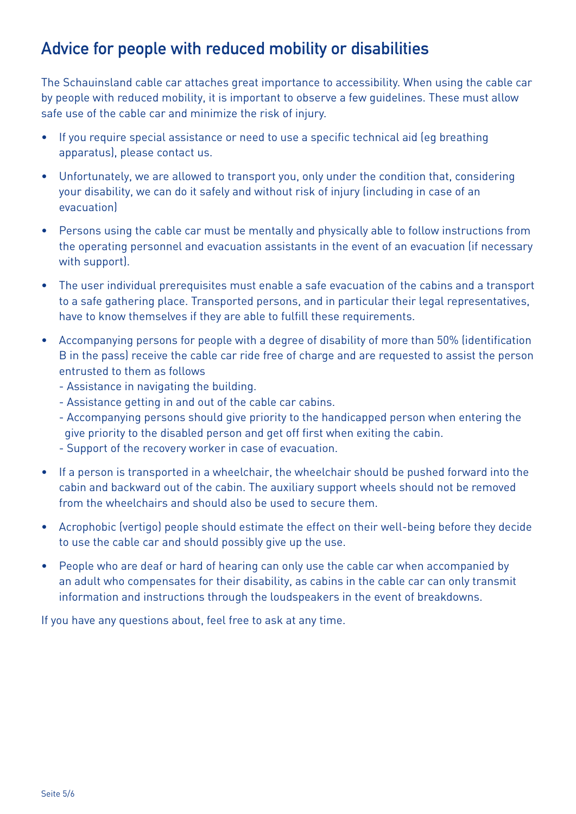## **Advice for people with reduced mobility or disabilities**

The Schauinsland cable car attaches great importance to accessibility. When using the cable car by people with reduced mobility, it is important to observe a few guidelines. These must allow safe use of the cable car and minimize the risk of injury.

- If you require special assistance or need to use a specific technical aid (eg breathing apparatus), please contact us.
- Unfortunately, we are allowed to transport you, only under the condition that, considering your disability, we can do it safely and without risk of injury (including in case of an evacuation)
- Persons using the cable car must be mentally and physically able to follow instructions from the operating personnel and evacuation assistants in the event of an evacuation (if necessary with support).
- The user individual prerequisites must enable a safe evacuation of the cabins and a transport to a safe gathering place. Transported persons, and in particular their legal representatives, have to know themselves if they are able to fulfill these requirements.
- Accompanying persons for people with a degree of disability of more than 50% (identification B in the pass) receive the cable car ride free of charge and are requested to assist the person entrusted to them as follows
	- Assistance in navigating the building.
	- Assistance getting in and out of the cable car cabins.
	- Accompanying persons should give priority to the handicapped person when entering the give priority to the disabled person and get off first when exiting the cabin.
	- Support of the recovery worker in case of evacuation.
- If a person is transported in a wheelchair, the wheelchair should be pushed forward into the cabin and backward out of the cabin. The auxiliary support wheels should not be removed from the wheelchairs and should also be used to secure them.
- Acrophobic (vertigo) people should estimate the effect on their well-being before they decide to use the cable car and should possibly give up the use.
- People who are deaf or hard of hearing can only use the cable car when accompanied by an adult who compensates for their disability, as cabins in the cable car can only transmit information and instructions through the loudspeakers in the event of breakdowns.

If you have any questions about, feel free to ask at any time.